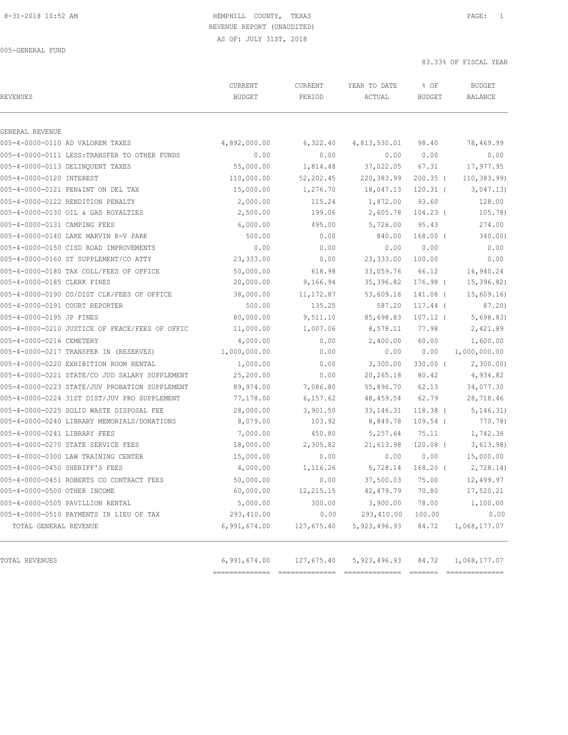| <b>REVENUES</b>                                | CURRENT<br><b>BUDGET</b> | CURRENT<br>PERIOD | YEAR TO DATE<br>ACTUAL | % OF<br><b>BUDGET</b> | <b>BUDGET</b><br><b>BALANCE</b> |
|------------------------------------------------|--------------------------|-------------------|------------------------|-----------------------|---------------------------------|
| GENERAL REVENUE                                |                          |                   |                        |                       |                                 |
| 005-4-0000-0110 AD VALOREM TAXES               | 4,892,000.00             | 6,322.40          | 4,813,530.01           | 98.40                 | 78,469.99                       |
| 005-4-0000-0111 LESS: TRANSFER TO OTHER FUNDS  | 0.00                     | 0.00              | 0.00                   | 0.00                  | 0.00                            |
| 005-4-0000-0113 DELINQUENT TAXES               | 55,000.00                | 1,814.48          | 37,022.05              | 67.31                 | 17,977.95                       |
| 005-4-0000-0120 INTEREST                       | 110,000.00               | 52,202.45         | 220,383.99             | $200.35$ (            | 110, 383.99                     |
| 005-4-0000-0121 PEN&INT ON DEL TAX             | 15,000.00                | 1,276.70          | 18,047.13              | $120.31$ (            | 3,047.13)                       |
| 005-4-0000-0122 RENDITION PENALTY              | 2,000.00                 | 115.24            | 1,872.00               | 93.60                 | 128.00                          |
| 005-4-0000-0130 OIL & GAS ROYALTIES            | 2,500.00                 | 199.06            | 2,605.78               | $104.23$ (            | 105.78)                         |
| 005-4-0000-0131 CAMPING FEES                   | 6,000.00                 | 495.00            | 5,726.00               | 95.43                 | 274.00                          |
| 005-4-0000-0140 LAKE MARVIN R-V PARK           | 500.00                   | 0.00              | 840.00                 | $168.00$ (            | 340.00)                         |
| 005-4-0000-0150 CISD ROAD IMPROVEMENTS         | 0.00                     | 0.00              | 0.00                   | 0.00                  | 0.00                            |
| 005-4-0000-0160 ST SUPPLEMENT/CO ATTY          | 23,333.00                | 0.00              | 23, 333.00             | 100.00                | 0.00                            |
| 005-4-0000-0180 TAX COLL/FEES OF OFFICE        | 50,000.00                | 618.98            | 33,059.76              | 66.12                 | 16,940.24                       |
| 005-4-0000-0185 CLERK FINES                    | 20,000.00                | 9,166.94          | 35,396.82              | 176.98 (              | 15,396.82)                      |
| 005-4-0000-0190 CO/DIST CLK/FEES OF OFFICE     | 38,000.00                | 11, 172.87        | 53,609.16              | 141.08 (              | 15,609.16                       |
| 005-4-0000-0191 COURT REPORTER                 | 500.00                   | 135.25            | 587.20                 | $117.44$ (            | 87.20)                          |
| 005-4-0000-0195 JP FINES                       | 80,000.00                | 9,511.10          | 85,698.83              | $107.12$ (            | 5,698.83)                       |
| 005-4-0000-0210 JUSTICE OF PEACE/FEES OF OFFIC | 11,000.00                | 1,007.06          | 8,578.11               | 77.98                 | 2,421.89                        |
| 005-4-0000-0216 CEMETERY                       | 4,000.00                 | 0.00              | 2,400.00               | 60.00                 | 1,600.00                        |
| 005-4-0000-0217 TRANSFER IN (RESERVES)         | 1,000,000.00             | 0.00              | 0.00                   | 0.00                  | 1,000,000.00                    |
| 005-4-0000-0220 EXHIBITION ROOM RENTAL         | 1,000.00                 | 0.00              | 3,300.00               | $330.00$ (            | 2,300.00                        |
| 005-4-0000-0221 STATE/CO JUD SALARY SUPPLEMENT | 25,200.00                | 0.00              | 20,265.18              | 80.42                 | 4,934.82                        |
| 005-4-0000-0223 STATE/JUV PROBATION SUPPLEMENT | 89,974.00                | 7,086.80          | 55,896.70              | 62.13                 | 34,077.30                       |
| 005-4-0000-0224 31ST DIST/JUV PRO SUPPLEMENT   | 77,178.00                | 6, 157.62         | 48, 459.54             | 62.79                 | 28,718.46                       |
| 005-4-0000-0225 SOLID WASTE DISPOSAL FEE       | 28,000.00                | 3,901.50          | 33, 146. 31            | $118.38$ (            | 5, 146.31)                      |
| 005-4-0000-0240 LIBRARY MEMORIALS/DONATIONS    | 8,079.00                 | 103.92            | 8,849.78               | $109.54$ (            | 770.78)                         |
| 005-4-0000-0241 LIBRARY FEES                   | 7,000.00                 | 450.80            | 5,257.64               | 75.11                 | 1,742.36                        |
| 005-4-0000-0270 STATE SERVICE FEES             | 18,000.00                | 2,305.82          | 21,613.98              | $120.08$ (            | 3,613.98)                       |
| 005-4-0000-0300 LAW TRAINING CENTER            | 15,000.00                | 0.00              | 0.00                   | 0.00                  | 15,000.00                       |
| 005-4-0000-0450 SHERIFF'S FEES                 | 4,000.00                 | 1,116.26          | 6,728.14               | $168.20$ (            | 2,728.14)                       |
| 005-4-0000-0451 ROBERTS CO CONTRACT FEES       | 50,000.00                | 0.00              | 37,500.03              | 75.00                 | 12,499.97                       |
| 005-4-0000-0500 OTHER INCOME                   | 60,000.00                | 12,215.15         | 42, 479.79             | 70.80                 | 17,520.21                       |
| 005-4-0000-0505 PAVILLION RENTAL               | 5,000.00                 | 300.00            | 3,900.00               | 78.00                 | 1,100.00                        |
| 005-4-0000-0510 PAYMENTS IN LIEU OF TAX        | 293,410.00               | 0.00              | 293,410.00             | 100.00                | 0.00                            |
| TOTAL GENERAL REVENUE                          | 6,991,674.00             | 127,675.40        | 5, 923, 496.93         | 84.72                 | 1,068,177.07                    |
| TOTAL REVENUES                                 | 6,991,674.00             | 127,675.40        | 5, 923, 496.93         | 84.72                 | 1,068,177.07                    |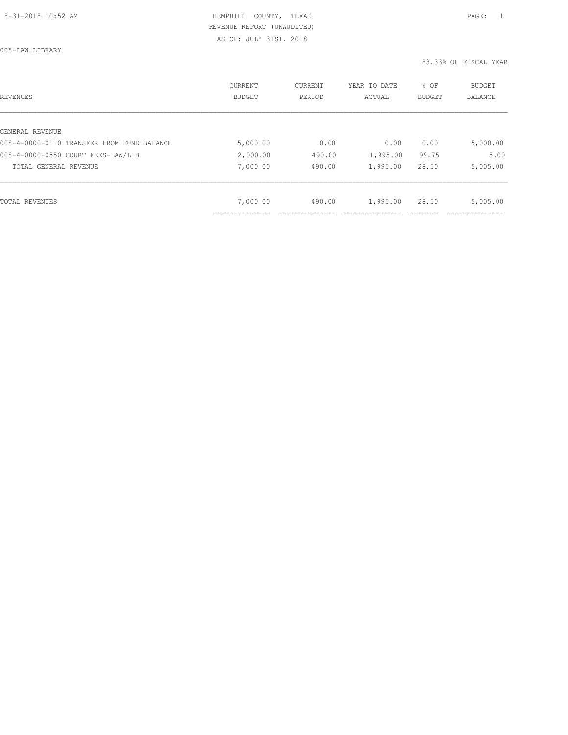008-LAW LIBRARY

| REVENUES                                   | CURRENT<br><b>BUDGET</b> | CURRENT<br>PERIOD | YEAR TO DATE<br>ACTUAL | % OF<br>BUDGET | BUDGET<br><b>BALANCE</b> |
|--------------------------------------------|--------------------------|-------------------|------------------------|----------------|--------------------------|
|                                            |                          |                   |                        |                |                          |
| GENERAL REVENUE                            |                          |                   |                        |                |                          |
| 008-4-0000-0110 TRANSFER FROM FUND BALANCE | 5,000.00                 | 0.00              | 0.00                   | 0.00           | 5,000.00                 |
| 008-4-0000-0550 COURT FEES-LAW/LIB         | 2,000.00                 | 490.00            | 1,995.00               | 99.75          | 5.00                     |
| TOTAL GENERAL REVENUE                      | 7,000.00                 | 490.00            | 1,995.00               | 28.50          | 5,005.00                 |
|                                            |                          |                   |                        |                |                          |
| TOTAL REVENUES                             | 7,000.00                 | 490.00            | 1,995.00               | 28.50          | 5,005.00                 |
|                                            |                          |                   |                        |                |                          |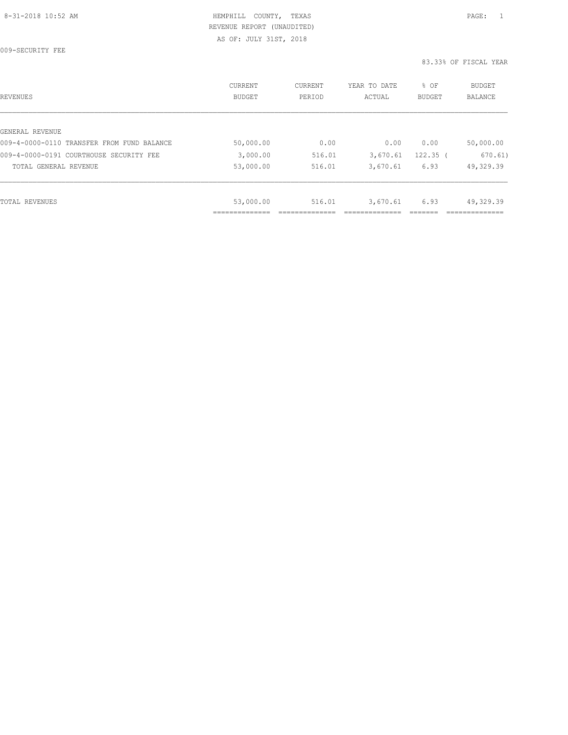009-SECURITY FEE

| REVENUES                                   | CURRENT<br><b>BUDGET</b> | CURRENT<br>PERIOD | YEAR TO DATE<br>ACTUAL | % OF<br><b>BUDGET</b> | <b>BUDGET</b><br><b>BALANCE</b> |
|--------------------------------------------|--------------------------|-------------------|------------------------|-----------------------|---------------------------------|
|                                            |                          |                   |                        |                       |                                 |
| GENERAL REVENUE                            |                          |                   |                        |                       |                                 |
| 009-4-0000-0110 TRANSFER FROM FUND BALANCE | 50,000.00                | 0.00              | 0.00                   | 0.00                  | 50,000.00                       |
| 009-4-0000-0191 COURTHOUSE SECURITY FEE    | 3,000.00                 | 516.01            | 3,670.61               | $122.35$ (            | 670.61)                         |
| TOTAL GENERAL REVENUE                      | 53,000.00                | 516.01            | 3,670.61               | 6.93                  | 49,329.39                       |
|                                            |                          |                   |                        |                       |                                 |
| TOTAL REVENUES                             | 53,000.00                | 516.01            | 3,670.61               | 6.93                  | 49,329.39                       |
|                                            | ____________<br>.        |                   |                        |                       | -------------                   |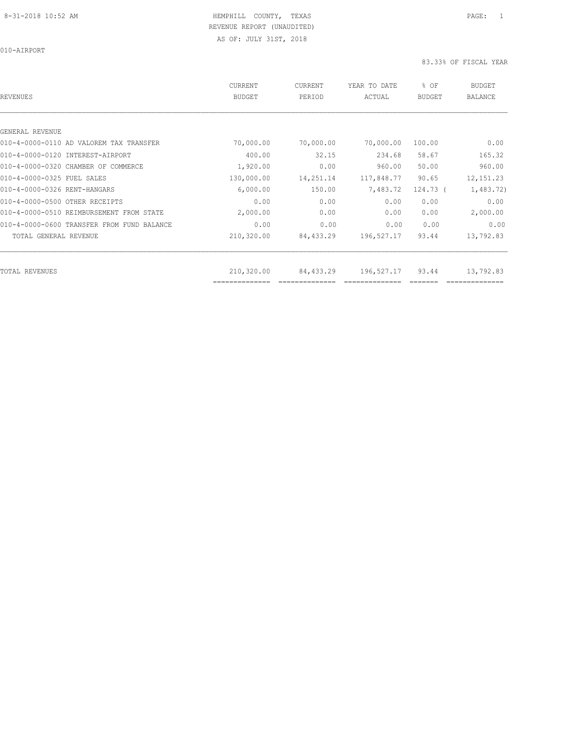| REVENUES                                   | CURRENT<br><b>BUDGET</b>     | CURRENT<br>PERIOD | YEAR TO DATE<br>ACTUAL | % OF<br>BUDGET | <b>BUDGET</b><br><b>BALANCE</b> |
|--------------------------------------------|------------------------------|-------------------|------------------------|----------------|---------------------------------|
|                                            |                              |                   |                        |                |                                 |
| GENERAL REVENUE                            |                              |                   |                        |                |                                 |
| 010-4-0000-0110 AD VALOREM TAX TRANSFER    | 70,000.00                    | 70,000.00         | 70,000.00              | 100.00         | 0.00                            |
| 010-4-0000-0120 INTEREST-AIRPORT           | 400.00                       | 32.15             | 234.68                 | 58.67          | 165.32                          |
| 010-4-0000-0320 CHAMBER OF COMMERCE        | 1,920.00                     | 0.00              | 960.00                 | 50.00          | 960.00                          |
| 010-4-0000-0325 FUEL SALES                 | 130,000.00                   | 14,251.14         | 117,848.77             | 90.65          | 12, 151.23                      |
| 010-4-0000-0326 RENT-HANGARS               | 6,000.00                     | 150.00            | 7,483.72               | $124.73$ (     | 1,483.72)                       |
| 010-4-0000-0500 OTHER RECEIPTS             | 0.00                         | 0.00              | 0.00                   | 0.00           | 0.00                            |
| 010-4-0000-0510 REIMBURSEMENT FROM STATE   | 2,000.00                     | 0.00              | 0.00                   | 0.00           | 2,000.00                        |
| 010-4-0000-0600 TRANSFER FROM FUND BALANCE | 0.00                         | 0.00              | 0.00                   | 0.00           | 0.00                            |
| TOTAL GENERAL REVENUE                      | 210,320.00                   | 84,433.29         | 196,527.17             | 93.44          | 13,792.83                       |
|                                            |                              |                   |                        |                |                                 |
| TOTAL REVENUES                             | 210,320.00<br>============== | 84,433.29         | 196,527.17             | 93.44          | 13,792.83                       |
|                                            |                              |                   |                        |                |                                 |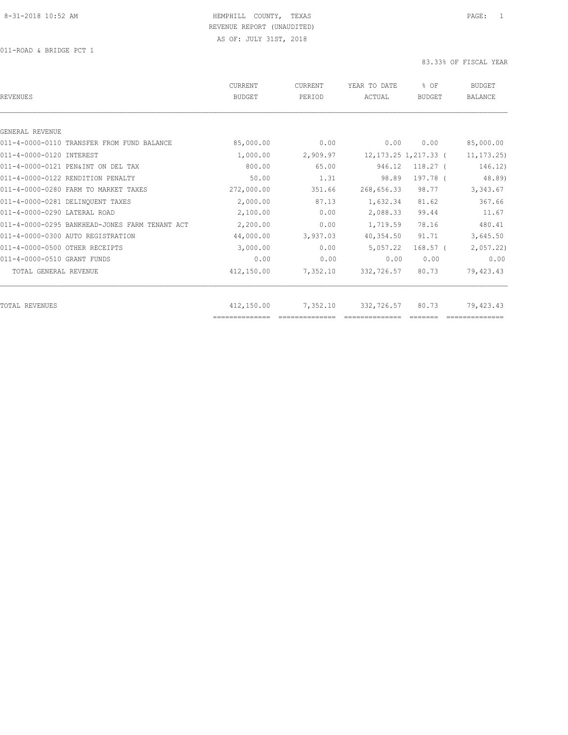| <b>REVENUES</b>                                | CURRENT<br><b>BUDGET</b> | CURRENT<br>PERIOD | YEAR TO DATE<br>ACTUAL | % OF<br><b>BUDGET</b>    | <b>BUDGET</b><br><b>BALANCE</b> |
|------------------------------------------------|--------------------------|-------------------|------------------------|--------------------------|---------------------------------|
|                                                |                          |                   |                        |                          |                                 |
| GENERAL REVENUE                                |                          |                   |                        |                          |                                 |
| 011-4-0000-0110 TRANSFER FROM FUND BALANCE     | 85,000.00                | 0.00              | 0.00                   | 0.00                     | 85,000.00                       |
| 011-4-0000-0120 INTEREST                       | 1,000.00                 | 2,909.97          |                        | 12, 173. 25 1, 217. 33 ( | 11, 173.25                      |
| 011-4-0000-0121 PEN&INT ON DEL TAX             | 800.00                   | 65.00             | 946.12                 | $118.27$ (               | 146.12)                         |
| 011-4-0000-0122 RENDITION PENALTY              | 50.00                    | 1.31              | 98.89                  | 197.78 (                 | 48.89)                          |
| 011-4-0000-0280 FARM TO MARKET TAXES           | 272,000.00               | 351.66            | 268,656.33             | 98.77                    | 3,343.67                        |
| 011-4-0000-0281 DELINQUENT TAXES               | 2,000.00                 | 87.13             | 1,632.34               | 81.62                    | 367.66                          |
| 011-4-0000-0290 LATERAL ROAD                   | 2,100.00                 | 0.00              | 2,088.33               | 99.44                    | 11.67                           |
| 011-4-0000-0295 BANKHEAD-JONES FARM TENANT ACT | 2,200.00                 | 0.00              | 1,719.59               | 78.16                    | 480.41                          |
| 011-4-0000-0300 AUTO REGISTRATION              | 44,000.00                | 3,937.03          | 40,354.50              | 91.71                    | 3,645.50                        |
| 011-4-0000-0500 OTHER RECEIPTS                 | 3,000.00                 | 0.00              | 5,057.22               | $168.57$ (               | 2,057.22                        |
| 011-4-0000-0510 GRANT FUNDS                    | 0.00                     | 0.00              | 0.00                   | 0.00                     | 0.00                            |
| TOTAL GENERAL REVENUE                          | 412,150.00               | 7,352.10          | 332,726.57             | 80.73                    | 79,423.43                       |
| <b>TOTAL REVENUES</b>                          | 412,150.00               | 7,352.10          | 332,726.57             | 80.73                    | 79,423.43                       |
|                                                |                          |                   |                        |                          |                                 |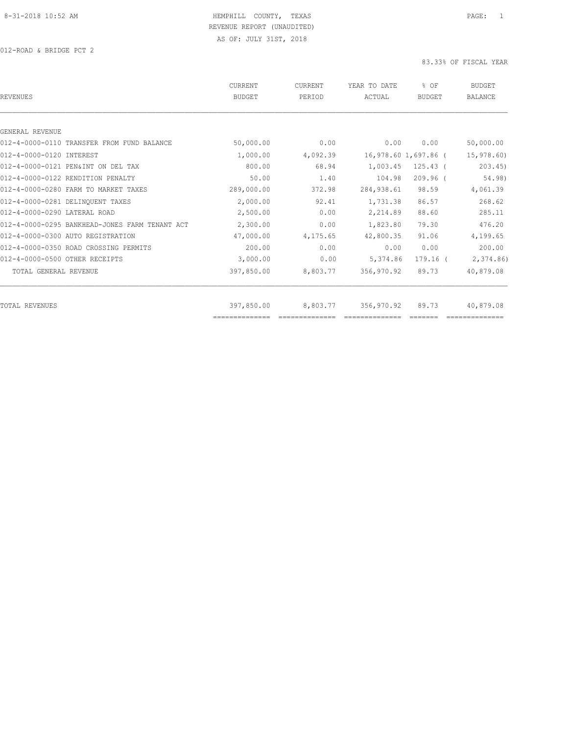| <b>REVENUES</b>                                | <b>CURRENT</b><br><b>BUDGET</b> | <b>CURRENT</b><br>PERIOD | YEAR TO DATE<br>ACTUAL | % OF<br><b>BUDGET</b> | <b>BUDGET</b><br><b>BALANCE</b> |
|------------------------------------------------|---------------------------------|--------------------------|------------------------|-----------------------|---------------------------------|
|                                                |                                 |                          |                        |                       |                                 |
| GENERAL REVENUE                                |                                 |                          |                        |                       |                                 |
| 012-4-0000-0110 TRANSFER FROM FUND BALANCE     | 50,000.00                       | 0.00                     | 0.00                   | 0.00                  | 50,000.00                       |
| 012-4-0000-0120 INTEREST                       | 1,000.00                        | 4,092.39                 |                        | 16,978.60 1,697.86 (  | 15,978.60                       |
| 012-4-0000-0121 PEN&INT ON DEL TAX             | 800.00                          | 68.94                    | 1,003.45               | $125.43$ (            | 203.45                          |
| 012-4-0000-0122 RENDITION PENALTY              | 50.00                           | 1.40                     | 104.98                 | $209.96$ $($          | 54.98)                          |
| 012-4-0000-0280 FARM TO MARKET TAXES           | 289,000.00                      | 372.98                   | 284, 938.61            | 98.59                 | 4,061.39                        |
| 012-4-0000-0281 DELINQUENT TAXES               | 2,000.00                        | 92.41                    | 1,731.38               | 86.57                 | 268.62                          |
| 012-4-0000-0290 LATERAL ROAD                   | 2,500.00                        | 0.00                     | 2,214.89               | 88.60                 | 285.11                          |
| 012-4-0000-0295 BANKHEAD-JONES FARM TENANT ACT | 2,300.00                        | 0.00                     | 1,823.80               | 79.30                 | 476.20                          |
| 012-4-0000-0300 AUTO REGISTRATION              | 47,000.00                       | 4,175.65                 | 42,800.35              | 91.06                 | 4,199.65                        |
| 012-4-0000-0350 ROAD CROSSING PERMITS          | 200.00                          | 0.00                     | 0.00                   | 0.00                  | 200.00                          |
| 012-4-0000-0500 OTHER RECEIPTS                 | 3,000.00                        | 0.00                     | 5,374.86               | $179.16$ (            | 2,374.86                        |
| TOTAL GENERAL REVENUE                          | 397,850.00                      | 8,803.77                 | 356,970.92             | 89.73                 | 40,879.08                       |
| <b>TOTAL REVENUES</b>                          | 397,850.00                      | 8,803.77                 | 356,970.92             | 89.73                 | 40,879.08                       |
|                                                |                                 |                          |                        |                       |                                 |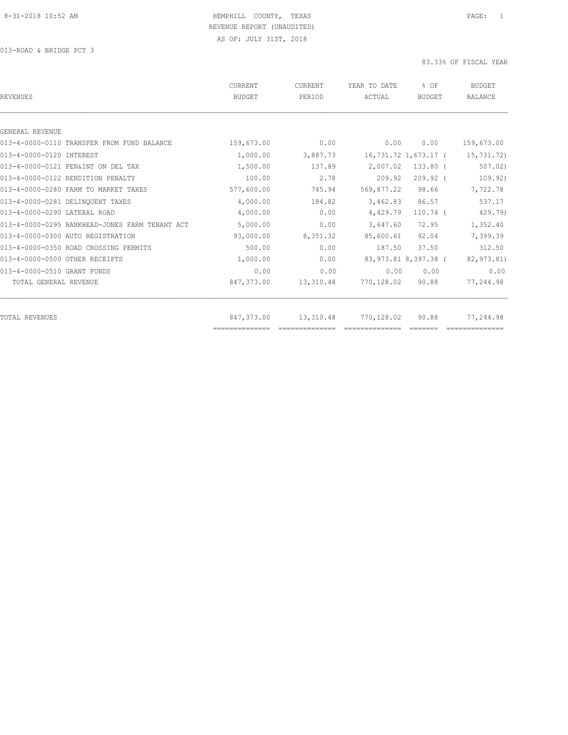| <b>REVENUES</b>                                | CURRENT<br><b>BUDGET</b> | CURRENT<br>PERIOD | YEAR TO DATE<br>ACTUAL | % OF<br><b>BUDGET</b> | <b>BUDGET</b><br><b>BALANCE</b> |
|------------------------------------------------|--------------------------|-------------------|------------------------|-----------------------|---------------------------------|
|                                                |                          |                   |                        |                       |                                 |
| GENERAL REVENUE                                |                          |                   |                        |                       |                                 |
| 013-4-0000-0110 TRANSFER FROM FUND BALANCE     | 159,673.00               | 0.00              | 0.00                   | 0.00                  | 159,673.00                      |
| 013-4-0000-0120 INTEREST                       | 1,000.00                 | 3,887.73          |                        | 16,731.72 1,673.17 (  | 15,731.72)                      |
| 013-4-0000-0121 PEN&INT ON DEL TAX             | 1,500.00                 | 137.89            | 2,007.02               | $133.80$ (            | 507.02                          |
| 013-4-0000-0122 RENDITION PENALTY              | 100.00                   | 2.78              | 209.92                 | $209.92$ (            | 109.92)                         |
| 013-4-0000-0280 FARM TO MARKET TAXES           | 577,600.00               | 745.94            | 569,877.22             | 98.66                 | 7,722.78                        |
| 013-4-0000-0281 DELINOUENT TAXES               | 4,000.00                 | 184.82            | 3,462.83               | 86.57                 | 537.17                          |
| 013-4-0000-0290 LATERAL ROAD                   | 4,000.00                 | 0.00              | 4,429.79               | $110.74$ (            | 429.79)                         |
| 013-4-0000-0295 BANKHEAD-JONES FARM TENANT ACT | 5,000.00                 | 0.00              | 3,647.60               | 72.95                 | 1,352.40                        |
| 013-4-0000-0300 AUTO REGISTRATION              | 93,000.00                | 8,351.32          | 85,600.61              | 92.04                 | 7,399.39                        |
| 013-4-0000-0350 ROAD CROSSING PERMITS          | 500.00                   | 0.00              | 187.50                 | 37.50                 | 312.50                          |
| 013-4-0000-0500 OTHER RECEIPTS                 | 1,000.00                 | 0.00              |                        | 83,973.81 8,397.38 (  | 82,973.81)                      |
| 013-4-0000-0510 GRANT FUNDS                    | 0.00                     | 0.00              | 0.00                   | 0.00                  | 0.00                            |
| TOTAL GENERAL REVENUE                          | 847,373.00               | 13,310.48         | 770,128.02             | 90.88                 | 77,244.98                       |
|                                                |                          |                   |                        |                       |                                 |
| TOTAL REVENUES                                 | 847,373.00               | 13,310.48         | 770,128.02             | 90.88                 | 77,244.98                       |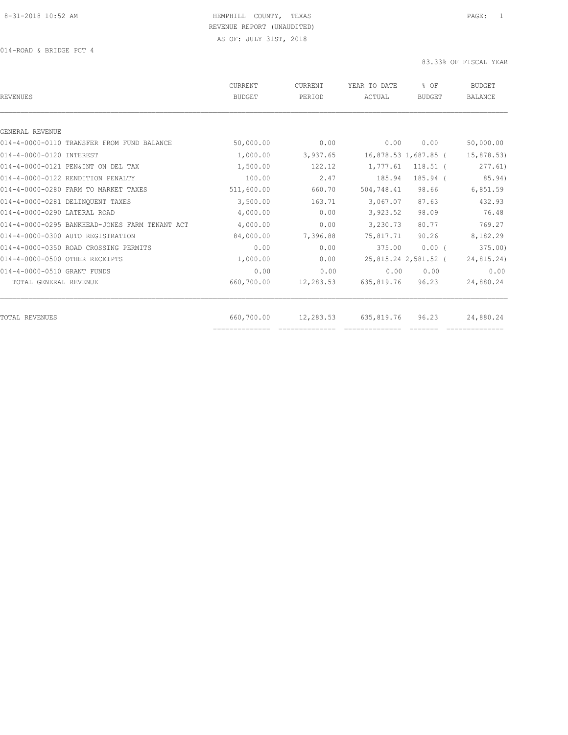| <b>REVENUES</b>                                | CURRENT<br><b>BUDGET</b> | CURRENT<br>PERIOD | YEAR TO DATE<br>ACTUAL | % OF<br><b>BUDGET</b> | <b>BUDGET</b><br><b>BALANCE</b> |
|------------------------------------------------|--------------------------|-------------------|------------------------|-----------------------|---------------------------------|
|                                                |                          |                   |                        |                       |                                 |
| GENERAL REVENUE                                |                          |                   |                        |                       |                                 |
| 014-4-0000-0110 TRANSFER FROM FUND BALANCE     | 50,000.00                | 0.00              | 0.00                   | 0.00                  | 50,000.00                       |
| 014-4-0000-0120 INTEREST                       | 1,000.00                 | 3,937.65          |                        | 16,878.53 1,687.85 (  | 15,878.53)                      |
| 014-4-0000-0121 PEN&INT ON DEL TAX             | 1,500.00                 | 122.12            | 1,777.61               | $118.51$ (            | 277.61)                         |
| 014-4-0000-0122 RENDITION PENALTY              | 100.00                   | 2.47              | 185.94                 | 185.94 (              | 85.94)                          |
| 014-4-0000-0280 FARM TO MARKET TAXES           | 511,600.00               | 660.70            | 504,748.41             | 98.66                 | 6,851.59                        |
| 014-4-0000-0281 DELINQUENT TAXES               | 3,500.00                 | 163.71            | 3,067.07               | 87.63                 | 432.93                          |
| 014-4-0000-0290 LATERAL ROAD                   | 4,000.00                 | 0.00              | 3,923.52               | 98.09                 | 76.48                           |
| 014-4-0000-0295 BANKHEAD-JONES FARM TENANT ACT | 4,000.00                 | 0.00              | 3,230.73               | 80.77                 | 769.27                          |
| 014-4-0000-0300 AUTO REGISTRATION              | 84,000.00                | 7,396.88          | 75,817.71              | 90.26                 | 8,182.29                        |
| 014-4-0000-0350 ROAD CROSSING PERMITS          | 0.00                     | 0.00              | 375.00                 | $0.00$ (              | 375.00                          |
| 014-4-0000-0500 OTHER RECEIPTS                 | 1,000.00                 | 0.00              |                        | 25,815.24 2,581.52 (  | 24,815.24)                      |
| 014-4-0000-0510 GRANT FUNDS                    | 0.00                     | 0.00              | 0.00                   | 0.00                  | 0.00                            |
| TOTAL GENERAL REVENUE                          | 660,700.00               | 12,283.53         | 635,819.76             | 96.23                 | 24,880.24                       |
| <b>TOTAL REVENUES</b>                          | 660,700.00               | 12,283.53         | 635,819.76             | 96.23                 | 24,880.24                       |
|                                                | ==============           |                   |                        |                       |                                 |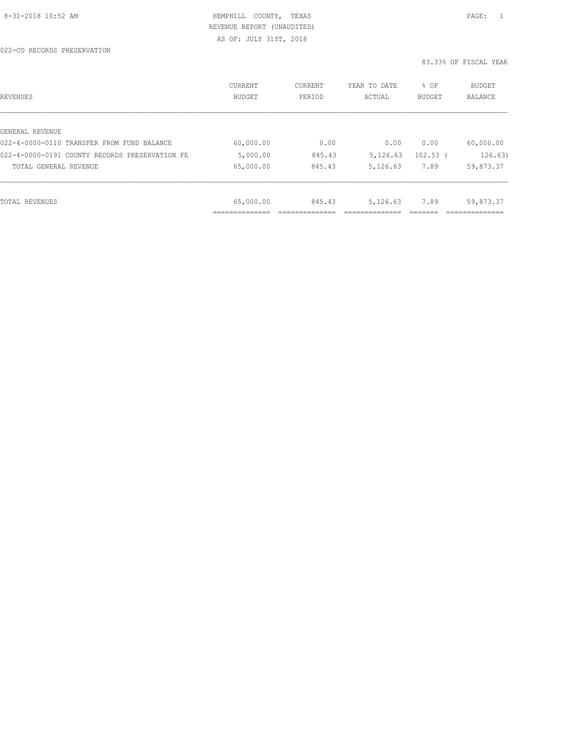AS OF: JULY 31ST, 2018

| REVENUES                                       | CURRENT<br><b>BUDGET</b> | CURRENT<br>PERIOD | YEAR TO DATE<br>ACTUAL | % OF<br><b>BUDGET</b> | <b>BUDGET</b><br><b>BALANCE</b> |
|------------------------------------------------|--------------------------|-------------------|------------------------|-----------------------|---------------------------------|
|                                                |                          |                   |                        |                       |                                 |
| GENERAL REVENUE                                |                          |                   |                        |                       |                                 |
| 022-4-0000-0110 TRANSFER FROM FUND BALANCE     | 60,000.00                | 0.00              | 0.00                   | 0.00                  | 60,000.00                       |
| 022-4-0000-0191 COUNTY RECORDS PRESERVATION FE | 5,000.00                 | 845.43            | 5,126.63               | $102.53$ (            | 126.63)                         |
| TOTAL GENERAL REVENUE                          | 65,000.00                | 845.43            | 5,126.63               | 7.89                  | 59,873.37                       |
|                                                |                          |                   |                        |                       |                                 |
| TOTAL REVENUES                                 | 65,000.00                | 845.43            | 5,126.63               | 7.89                  | 59,873.37                       |
|                                                | ____________<br>.        |                   |                        |                       | ------------                    |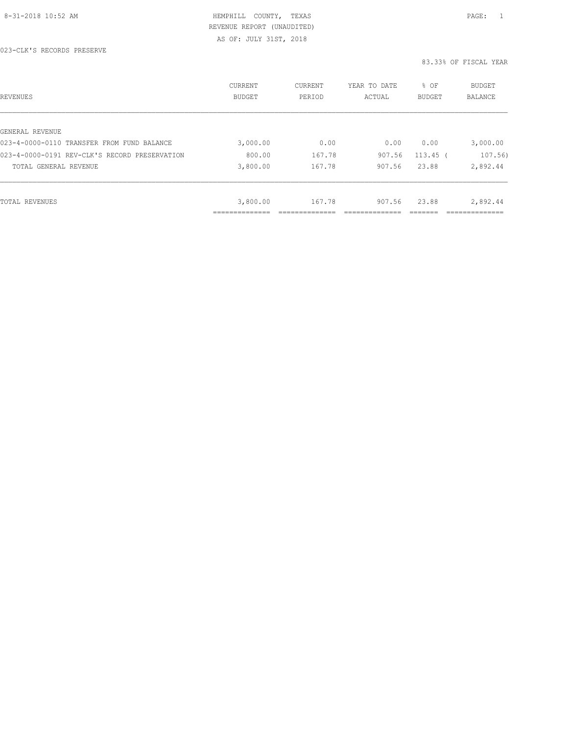AS OF: JULY 31ST, 2018

| REVENUES                                      | CURRENT<br>BUDGET | <b>CURRENT</b><br>PERIOD | YEAR TO DATE<br>ACTUAL | % OF<br><b>BUDGET</b> | BUDGET<br><b>BALANCE</b> |
|-----------------------------------------------|-------------------|--------------------------|------------------------|-----------------------|--------------------------|
|                                               |                   |                          |                        |                       |                          |
| GENERAL REVENUE                               |                   |                          |                        |                       |                          |
| 023-4-0000-0110 TRANSFER FROM FUND BALANCE    | 3,000.00          | 0.00                     | 0.00                   | 0.00                  | 3,000.00                 |
| 023-4-0000-0191 REV-CLK'S RECORD PRESERVATION | 800.00            | 167.78                   | 907.56                 | $113.45$ (            | 107.56)                  |
| TOTAL GENERAL REVENUE                         | 3,800.00          | 167.78                   | 907.56                 | 23.88                 | 2,892.44                 |
|                                               |                   |                          |                        |                       |                          |
| TOTAL REVENUES                                | 3,800.00          | 167.78                   | 907.56                 | 23.88                 | 2,892.44                 |
|                                               | _____________     |                          |                        |                       |                          |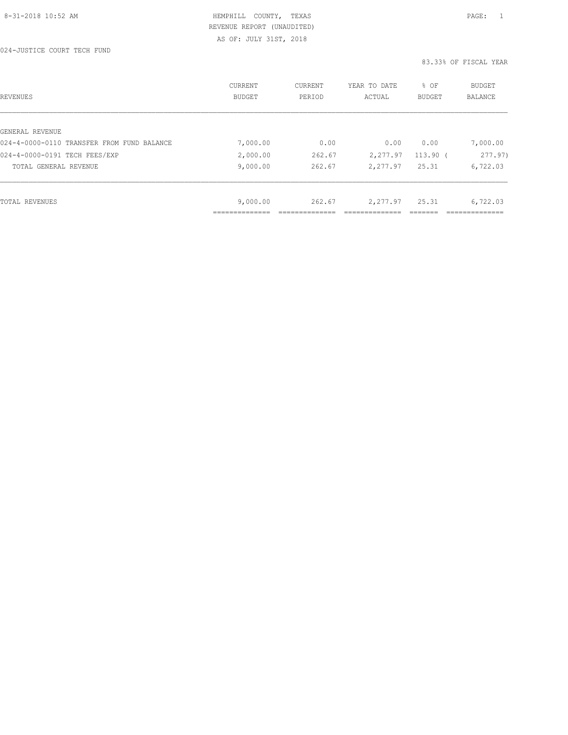AS OF: JULY 31ST, 2018

| REVENUES                                   | CURRENT<br><b>BUDGET</b>   | CURRENT<br>PERIOD | YEAR TO DATE<br>ACTUAL | % OF<br><b>BUDGET</b> | BUDGET<br><b>BALANCE</b> |
|--------------------------------------------|----------------------------|-------------------|------------------------|-----------------------|--------------------------|
| GENERAL REVENUE                            |                            |                   |                        |                       |                          |
| 024-4-0000-0110 TRANSFER FROM FUND BALANCE | 7,000.00                   | 0.00              | 0.00                   | 0.00                  | 7,000.00                 |
| 024-4-0000-0191 TECH FEES/EXP              | 2,000.00                   | 262.67            | 2,277.97               | $113.90$ (            | 277.97)                  |
| TOTAL GENERAL REVENUE                      | 9,000.00                   | 262.67            | 2,277.97               | 25.31                 | 6,722.03                 |
|                                            |                            |                   |                        |                       |                          |
| TOTAL REVENUES                             | 9,000.00                   | 262.67            | 2,277.97               | 25.31                 | 6,722.03                 |
|                                            | ____________<br>---------- |                   |                        |                       |                          |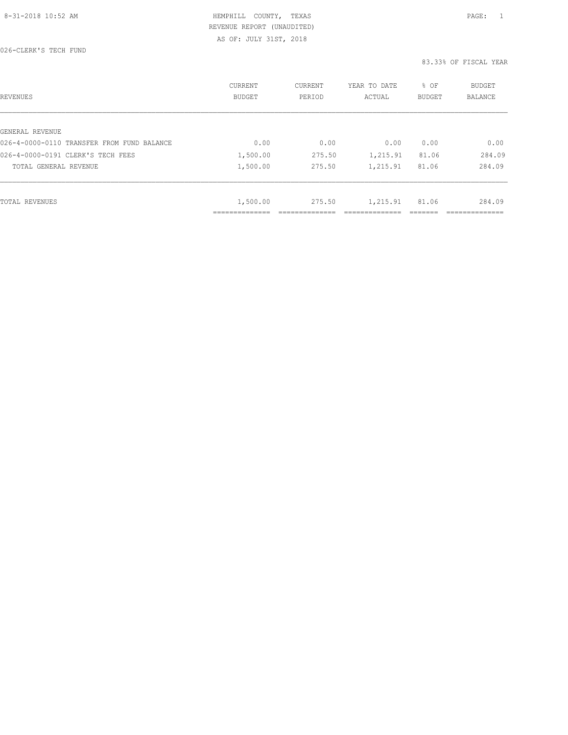AS OF: JULY 31ST, 2018

026-CLERK'S TECH FUND

| <b>REVENUES</b>                            | <b>CURRENT</b><br><b>BUDGET</b> | CURRENT<br>PERIOD | YEAR TO DATE<br>ACTUAL | % OF<br><b>BUDGET</b> | <b>BUDGET</b><br>BALANCE |
|--------------------------------------------|---------------------------------|-------------------|------------------------|-----------------------|--------------------------|
| GENERAL REVENUE                            |                                 |                   |                        |                       |                          |
| 026-4-0000-0110 TRANSFER FROM FUND BALANCE | 0.00                            | 0.00              | 0.00                   | 0.00                  | 0.00                     |
|                                            |                                 |                   |                        |                       |                          |
| 026-4-0000-0191 CLERK'S TECH FEES          | 1,500.00                        | 275.50            | 1,215.91               | 81.06                 | 284.09                   |
| TOTAL GENERAL REVENUE                      | 1,500.00                        | 275.50            | 1,215.91               | 81.06                 | 284.09                   |
|                                            |                                 |                   |                        |                       |                          |
| <b>TOTAL REVENUES</b>                      | 1,500.00                        | 275.50            | 1,215.91               | 81.06                 | 284.09                   |
|                                            | -------------                   |                   |                        |                       | __________               |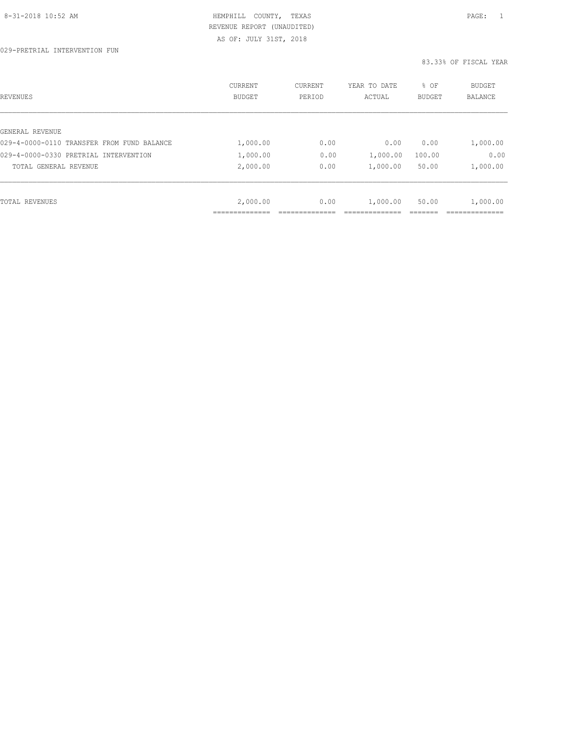| REVENUES                                   | CURRENT<br><b>BUDGET</b> | CURRENT<br>PERIOD | YEAR TO DATE<br>ACTUAL | % OF<br>BUDGET | BUDGET<br><b>BALANCE</b> |
|--------------------------------------------|--------------------------|-------------------|------------------------|----------------|--------------------------|
|                                            |                          |                   |                        |                |                          |
| GENERAL REVENUE                            |                          |                   |                        |                |                          |
| 029-4-0000-0110 TRANSFER FROM FUND BALANCE | 1,000.00                 | 0.00              | 0.00                   | 0.00           | 1,000.00                 |
| 029-4-0000-0330 PRETRIAL INTERVENTION      | 1,000.00                 | 0.00              | 1,000.00               | 100.00         | 0.00                     |
| TOTAL GENERAL REVENUE                      | 2,000.00                 | 0.00              | 1,000.00               | 50.00          | 1,000.00                 |
|                                            |                          |                   |                        |                |                          |
| TOTAL REVENUES                             | 2,000.00                 | 0.00              | 1,000.00               | 50.00          | 1,000.00                 |
|                                            |                          |                   |                        |                |                          |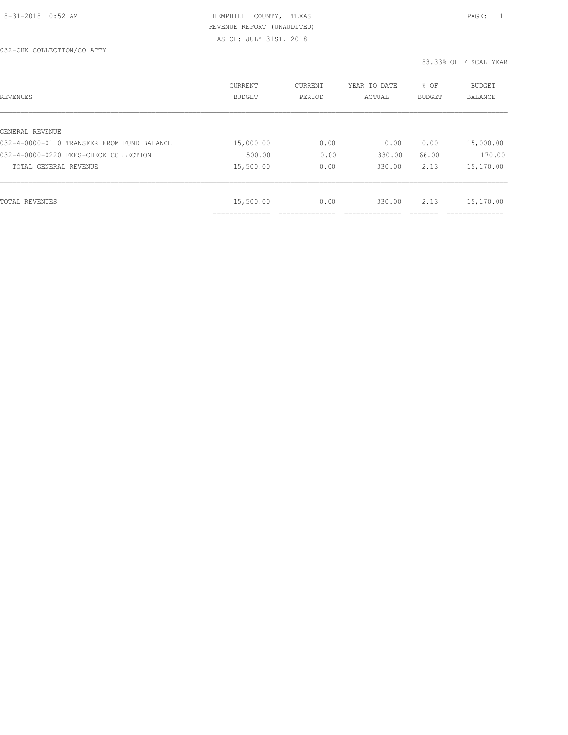| REVENUES                                   | <b>CURRENT</b><br><b>BUDGET</b> | CURRENT<br>PERIOD | YEAR TO DATE<br>ACTUAL | % OF<br>BUDGET | BUDGET<br><b>BALANCE</b> |
|--------------------------------------------|---------------------------------|-------------------|------------------------|----------------|--------------------------|
|                                            |                                 |                   |                        |                |                          |
| GENERAL REVENUE                            |                                 |                   |                        |                |                          |
| 032-4-0000-0110 TRANSFER FROM FUND BALANCE | 15,000.00                       | 0.00              | 0.00                   | 0.00           | 15,000.00                |
| 032-4-0000-0220 FEES-CHECK COLLECTION      | 500.00                          | 0.00              | 330.00                 | 66.00          | 170.00                   |
| TOTAL GENERAL REVENUE                      | 15,500.00                       | 0.00              | 330.00                 | 2.13           | 15,170.00                |
|                                            |                                 |                   |                        |                |                          |
| TOTAL REVENUES                             | 15,500.00                       | 0.00              | 330.00                 | 2.13           | 15,170.00                |
|                                            | _____________                   |                   |                        |                | ____________             |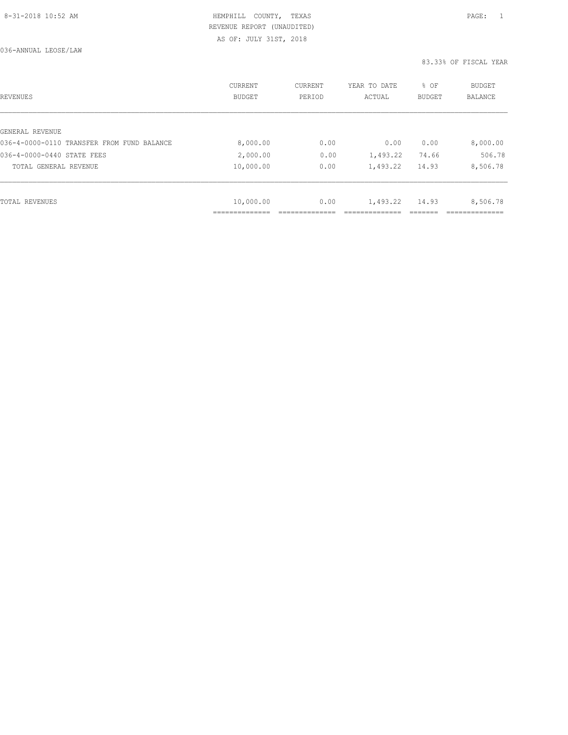036-ANNUAL LEOSE/LAW

| <b>REVENUES</b>                            | <b>CURRENT</b><br><b>BUDGET</b> | CURRENT<br>PERIOD | YEAR TO DATE<br>ACTUAL | % OF<br><b>BUDGET</b> | BUDGET<br><b>BALANCE</b> |
|--------------------------------------------|---------------------------------|-------------------|------------------------|-----------------------|--------------------------|
| GENERAL REVENUE                            |                                 |                   |                        |                       |                          |
| 036-4-0000-0110 TRANSFER FROM FUND BALANCE | 8,000.00                        | 0.00              | 0.00                   | 0.00                  | 8,000.00                 |
|                                            |                                 |                   |                        |                       |                          |
| 036-4-0000-0440 STATE FEES                 | 2,000.00                        | 0.00              | 1,493.22               | 74.66                 | 506.78                   |
| TOTAL GENERAL REVENUE                      | 10,000.00                       | 0.00              | 1,493.22               | 14.93                 | 8,506.78                 |
|                                            |                                 |                   |                        |                       |                          |
| TOTAL REVENUES                             | 10,000.00                       | 0.00              | 1,493.22               | 14.93                 | 8,506.78                 |
|                                            | .                               |                   |                        |                       |                          |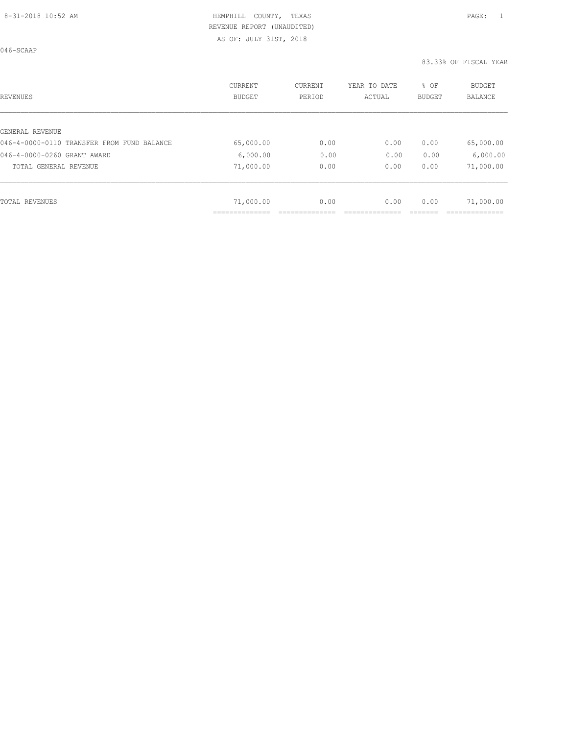AS OF: JULY 31ST, 2018

046-SCAAP

| REVENUES                                   | <b>CURRENT</b><br><b>BUDGET</b> | CURRENT<br>PERIOD | YEAR TO DATE<br>ACTUAL | % OF<br><b>BUDGET</b> | <b>BUDGET</b><br><b>BALANCE</b> |
|--------------------------------------------|---------------------------------|-------------------|------------------------|-----------------------|---------------------------------|
|                                            |                                 |                   |                        |                       |                                 |
| GENERAL REVENUE                            |                                 |                   |                        |                       |                                 |
| 046-4-0000-0110 TRANSFER FROM FUND BALANCE | 65,000.00                       | 0.00              | 0.00                   | 0.00                  | 65,000.00                       |
| 046-4-0000-0260 GRANT AWARD                | 6,000.00                        | 0.00              | 0.00                   | 0.00                  | 6,000.00                        |
| TOTAL GENERAL REVENUE                      | 71,000.00                       | 0.00              | 0.00                   | 0.00                  | 71,000.00                       |
|                                            |                                 |                   |                        |                       |                                 |
| TOTAL REVENUES                             | 71,000.00                       | 0.00              | 0.00                   | 0.00                  | 71,000.00                       |
|                                            |                                 |                   |                        |                       |                                 |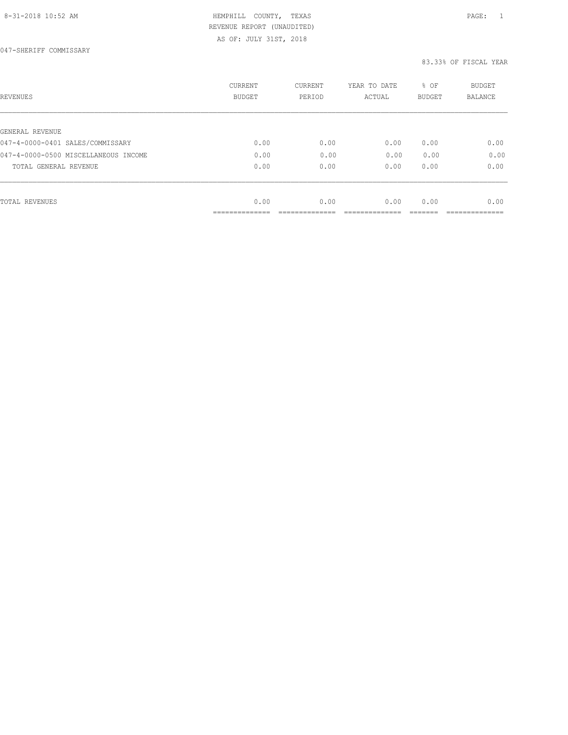AS OF: JULY 31ST, 2018

| REVENUES                             | <b>CURRENT</b><br><b>BUDGET</b> | CURRENT<br>PERIOD | YEAR TO DATE<br>ACTUAL | % OF<br><b>BUDGET</b> | <b>BUDGET</b><br>BALANCE |
|--------------------------------------|---------------------------------|-------------------|------------------------|-----------------------|--------------------------|
| GENERAL REVENUE                      |                                 |                   |                        |                       |                          |
| 047-4-0000-0401 SALES/COMMISSARY     | 0.00                            | 0.00              | 0.00                   | 0.00                  | 0.00                     |
| 047-4-0000-0500 MISCELLANEOUS INCOME | 0.00                            | 0.00              | 0.00                   | 0.00                  | 0.00                     |
| TOTAL GENERAL REVENUE                | 0.00                            | 0.00              | 0.00                   | 0.00                  | 0.00                     |
|                                      |                                 |                   |                        |                       |                          |
| TOTAL REVENUES                       | 0.00                            | 0.00              | 0.00                   | 0.00                  | 0.00                     |
|                                      | ______________                  |                   |                        |                       |                          |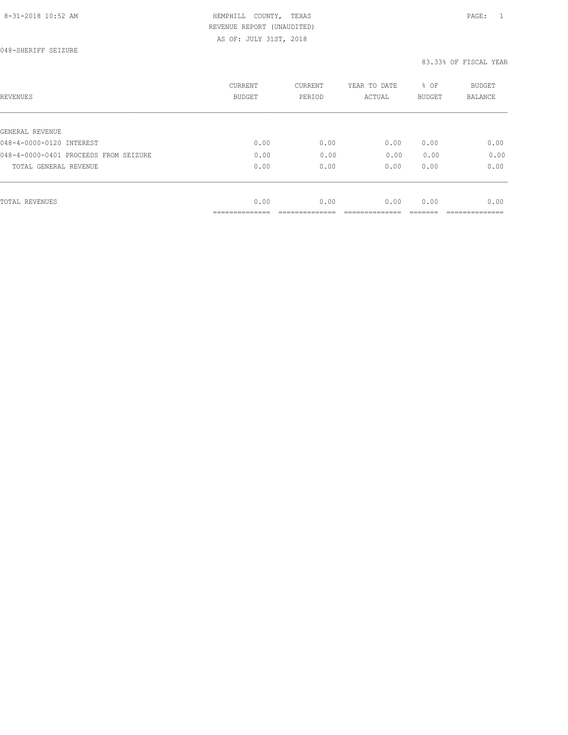| REVENUES                              | CURRENT<br>BUDGET             | CURRENT<br>PERIOD | YEAR TO DATE<br>ACTUAL | % OF<br><b>BUDGET</b> | <b>BUDGET</b><br>BALANCE |
|---------------------------------------|-------------------------------|-------------------|------------------------|-----------------------|--------------------------|
|                                       |                               |                   |                        |                       |                          |
| GENERAL REVENUE                       |                               |                   |                        |                       |                          |
| 048-4-0000-0120 INTEREST              | 0.00                          | 0.00              | 0.00                   | 0.00                  | 0.00                     |
| 048-4-0000-0401 PROCEEDS FROM SEIZURE | 0.00                          | 0.00              | 0.00                   | 0.00                  | 0.00                     |
| TOTAL GENERAL REVENUE                 | 0.00                          | 0.00              | 0.00                   | 0.00                  | 0.00                     |
|                                       |                               |                   |                        |                       |                          |
| <b>TOTAL REVENUES</b>                 | 0.00                          | 0.00              | 0.00                   | 0.00                  | 0.00                     |
|                                       | ____________<br>------------- |                   |                        |                       |                          |